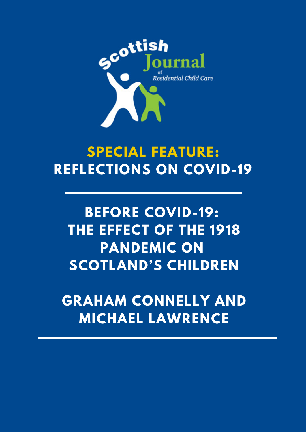

# **SPECIAL FEATURE: REFLECTIONS ON COVID-19**

## **BEFORE COVID-19: THE EFFECT OF THE 1918 PANDEMIC ON SCOTLAND'S CHILDREN**

**GRAHAM CONNELLY AND MICHAEL LAWRENCE**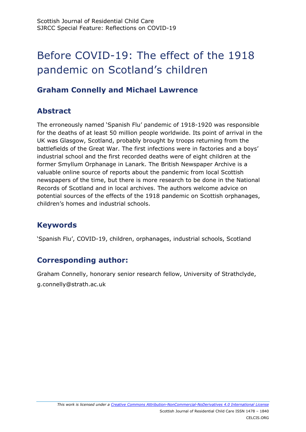## Before COVID-19: The effect of the 1918 pandemic on Scotland's children

### **Graham Connelly and Michael Lawrence**

## **Abstract**

The erroneously named 'Spanish Flu' pandemic of 1918-1920 was responsible for the deaths of at least 50 million people worldwide. Its point of arrival in the UK was Glasgow, Scotland, probably brought by troops returning from the battlefields of the Great War. The first infections were in factories and a boys' industrial school and the first recorded deaths were of eight children at the former Smyllum Orphanage in Lanark. The British Newspaper Archive is a valuable online source of reports about the pandemic from local Scottish newspapers of the time, but there is more research to be done in the National Records of Scotland and in local archives. The authors welcome advice on potential sources of the effects of the 1918 pandemic on Scottish orphanages, children's homes and industrial schools.

## **Keywords**

'Spanish Flu', COVID-19, children, orphanages, industrial schools, Scotland

## **Corresponding author:**

Graham Connelly, honorary senior research fellow, University of Strathclyde, g.connelly@strath.ac.uk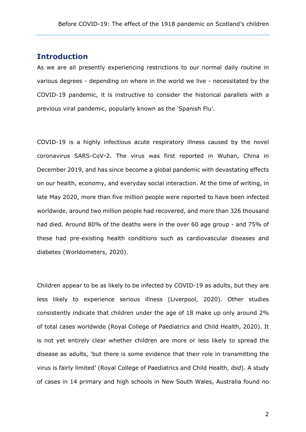#### **Introduction**

As we are all presently experiencing restrictions to our normal daily routine in various degrees - depending on where in the world we live - necessitated by the COVID-19 pandemic, it is instructive to consider the historical parallels with a previous viral pandemic, popularly known as the 'Spanish Flu'.

COVID-19 is a highly infectious acute respiratory illness caused by the novel coronavirus SARS-CoV-2. The virus was first reported in Wuhan, China in December 2019, and has since become a global pandemic with devastating effects on our health, economy, and everyday social interaction. At the time of writing, in late May 2020, more than five million people were reported to have been infected worldwide, around two million people had recovered, and more than 326 thousand had died. Around 80% of the deaths were in the over 60 age group - and 75% of these had pre-existing health conditions such as cardiovascular diseases and diabetes (Worldometers, 2020).

Children appear to be as likely to be infected by COVID-19 as adults, but they are less likely to experience serious illness (Liverpool, 2020). Other studies consistently indicate that children under the age of 18 make up only around 2% of total cases worldwide (Royal College of Paediatrics and Child Health, 2020). It is not yet entirely clear whether children are more or less likely to spread the disease as adults, 'but there is some evidence that their role in transmitting the virus is fairly limited' (Royal College of Paediatrics and Child Health, *ibid*). A study of cases in 14 primary and high schools in New South Wales, Australia found no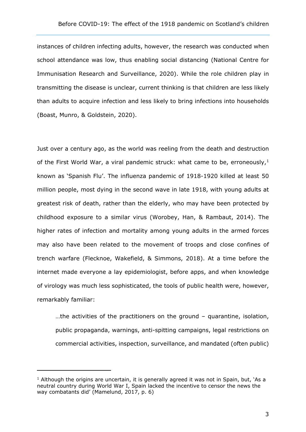instances of children infecting adults, however, the research was conducted when school attendance was low, thus enabling social distancing (National Centre for Immunisation Research and Surveillance, 2020). While the role children play in transmitting the disease is unclear, current thinking is that children are less likely than adults to acquire infection and less likely to bring infections into households (Boast, Munro, & Goldstein, 2020).

Just over a century ago, as the world was reeling from the death and destruction of the First World War, a viral pandemic struck: what came to be, erroneously,  $1$ known as 'Spanish Flu'. The influenza pandemic of 1918-1920 killed at least 50 million people, most dying in the second wave in late 1918, with young adults at greatest risk of death, rather than the elderly, who may have been protected by childhood exposure to a similar virus (Worobey, Han, & Rambaut, 2014). The higher rates of infection and mortality among young adults in the armed forces may also have been related to the movement of troops and close confines of trench warfare (Flecknoe, Wakefield, & Simmons, 2018). At a time before the internet made everyone a lay epidemiologist, before apps, and when knowledge of virology was much less sophisticated, the tools of public health were, however, remarkably familiar:

…the activities of the practitioners on the ground – quarantine, isolation, public propaganda, warnings, anti-spitting campaigns, legal restrictions on commercial activities, inspection, surveillance, and mandated (often public)

-

<span id="page-3-0"></span> $<sup>1</sup>$  Although the origins are uncertain, it is generally agreed it was not in Spain, but, 'As a</sup> neutral country during World War I, Spain lacked the incentive to censor the news the way combatants did' (Mamelund, 2017, p. 6)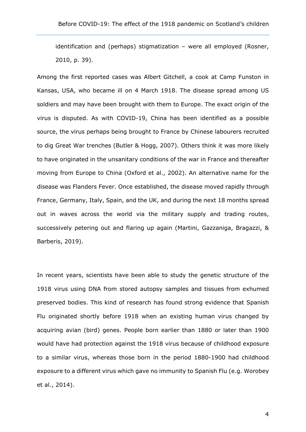identification and (perhaps) stigmatization – were all employed (Rosner, 2010, p. 39).

Among the first reported cases was Albert Gitchell, a cook at Camp Funston in Kansas, USA, who became ill on 4 March 1918. The disease spread among US soldiers and may have been brought with them to Europe. The exact origin of the virus is disputed. As with COVID-19, China has been identified as a possible source, the virus perhaps being brought to France by Chinese labourers recruited to dig Great War trenches (Butler & Hogg, 2007). Others think it was more likely to have originated in the unsanitary conditions of the war in France and thereafter moving from Europe to China (Oxford et al., 2002). An alternative name for the disease was Flanders Fever. Once established, the disease moved rapidly through France, Germany, Italy, Spain, and the UK, and during the next 18 months spread out in waves across the world via the military supply and trading routes, successively petering out and flaring up again (Martini, Gazzaniga, Bragazzi, & Barberis, 2019).

In recent years, scientists have been able to study the genetic structure of the 1918 virus using DNA from stored autopsy samples and tissues from exhumed preserved bodies. This kind of research has found strong evidence that Spanish Flu originated shortly before 1918 when an existing human virus changed by acquiring avian (bird) genes. People born earlier than 1880 or later than 1900 would have had protection against the 1918 virus because of childhood exposure to a similar virus, whereas those born in the period 1880-1900 had childhood exposure to a different virus which gave no immunity to Spanish Flu (e.g. Worobey et al., 2014).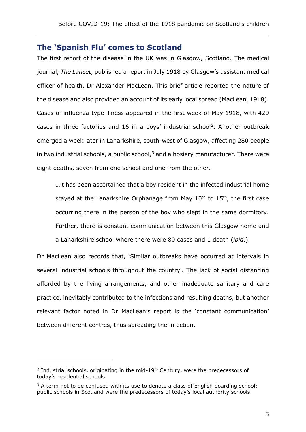#### **The 'Spanish Flu' comes to Scotland**

The first report of the disease in the UK was in Glasgow, Scotland. The medical journal, *The Lancet*, published a report in July 1918 by Glasgow's assistant medical officer of health, Dr Alexander MacLean. This brief article reported the nature of the disease and also provided an account of its early local spread (MacLean, 1918). Cases of influenza-type illness appeared in the first week of May 1918, with 420 cases in three factories and 16 in a boys' industrial school<sup>[2](#page-5-0)</sup>. Another outbreak emerged a week later in Lanarkshire, south-west of Glasgow, affecting 280 people in two industrial schools, a public school, $3$  and a hosiery manufacturer. There were eight deaths, seven from one school and one from the other.

…it has been ascertained that a boy resident in the infected industrial home stayed at the Lanarkshire Orphanage from May  $10<sup>th</sup>$  to  $15<sup>th</sup>$ , the first case occurring there in the person of the boy who slept in the same dormitory. Further, there is constant communication between this Glasgow home and a Lanarkshire school where there were 80 cases and 1 death (*ibid*.).

Dr MacLean also records that, 'Similar outbreaks have occurred at intervals in several industrial schools throughout the country'. The lack of social distancing afforded by the living arrangements, and other inadequate sanitary and care practice, inevitably contributed to the infections and resulting deaths, but another relevant factor noted in Dr MacLean's report is the 'constant communication' between different centres, thus spreading the infection.

-

<span id="page-5-0"></span> $2$  Industrial schools, originating in the mid-19<sup>th</sup> Century, were the predecessors of today's residential schools.

<span id="page-5-1"></span><sup>&</sup>lt;sup>3</sup> A term not to be confused with its use to denote a class of English boarding school: public schools in Scotland were the predecessors of today's local authority schools.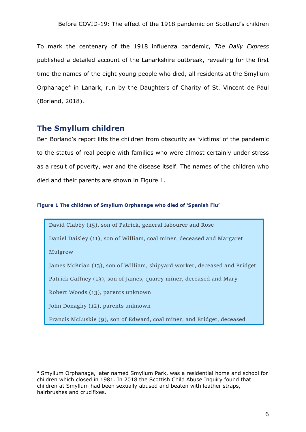To mark the centenary of the 1918 influenza pandemic, *The Daily Express* published a detailed account of the Lanarkshire outbreak, revealing for the first time the names of the eight young people who died, all residents at the Smyllum Orphanage<sup>[4](#page-6-0)</sup> in Lanark, run by the Daughters of Charity of St. Vincent de Paul (Borland, 2018).

#### **The Smyllum children**

Ben Borland's report lifts the children from obscurity as 'victims' of the pandemic to the status of real people with families who were almost certainly under stress as a result of poverty, war and the disease itself. The names of the children who died and their parents are shown in Figure 1.

#### **Figure 1 The children of Smyllum Orphanage who died of 'Spanish Flu'**

David Clabby (15), son of Patrick, general labourer and Rose

Daniel Daisley (11), son of William, coal miner, deceased and Margaret

Mulgrew

-

James McBrian (13), son of William, shipyard worker, deceased and Bridget

Patrick Gaffney (13), son of James, quarry miner, deceased and Mary

Robert Woods (13), parents unknown

John Donaghy (12), parents unknown

Francis McLuskie (9), son of Edward, coal miner, and Bridget, deceased

<span id="page-6-0"></span><sup>4</sup> Smyllum Orphanage, later named Smyllum Park, was a residential home and school for children which closed in 1981. In 2018 the Scottish Child Abuse Inquiry found that children at Smyllum had been sexually abused and beaten with leather straps, hairbrushes and crucifixes.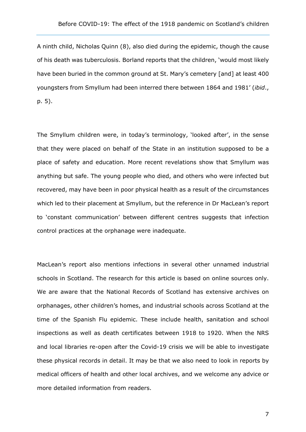A ninth child, Nicholas Quinn (8), also died during the epidemic, though the cause of his death was tuberculosis. Borland reports that the children, 'would most likely have been buried in the common ground at St. Mary's cemetery [and] at least 400 youngsters from Smyllum had been interred there between 1864 and 1981' (*ibid*., p. 5).

The Smyllum children were, in today's terminology, 'looked after', in the sense that they were placed on behalf of the State in an institution supposed to be a place of safety and education. More recent revelations show that Smyllum was anything but safe. The young people who died, and others who were infected but recovered, may have been in poor physical health as a result of the circumstances which led to their placement at Smyllum, but the reference in Dr MacLean's report to 'constant communication' between different centres suggests that infection control practices at the orphanage were inadequate.

MacLean's report also mentions infections in several other unnamed industrial schools in Scotland. The research for this article is based on online sources only. We are aware that the National Records of Scotland has extensive archives on orphanages, other children's homes, and industrial schools across Scotland at the time of the Spanish Flu epidemic. These include health, sanitation and school inspections as well as death certificates between 1918 to 1920. When the NRS and local libraries re-open after the Covid-19 crisis we will be able to investigate these physical records in detail. It may be that we also need to look in reports by medical officers of health and other local archives, and we welcome any advice or more detailed information from readers.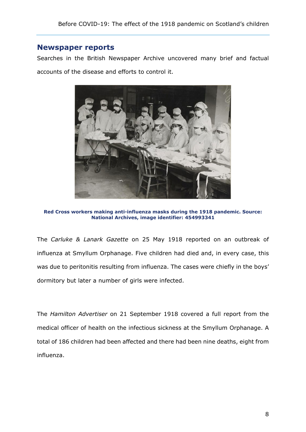#### **Newspaper reports**

Searches in the British Newspaper Archive uncovered many brief and factual accounts of the disease and efforts to control it.



**Red Cross workers making anti-influenza masks during the 1918 pandemic. Source: National Archives, image identifier: 454993341**

The *Carluke & Lanark Gazette* on 25 May 1918 reported on an outbreak of influenza at Smyllum Orphanage. Five children had died and, in every case, this was due to peritonitis resulting from influenza. The cases were chiefly in the boys' dormitory but later a number of girls were infected.

The *Hamilton Advertiser* on 21 September 1918 covered a full report from the medical officer of health on the infectious sickness at the Smyllum Orphanage. A total of 186 children had been affected and there had been nine deaths, eight from influenza.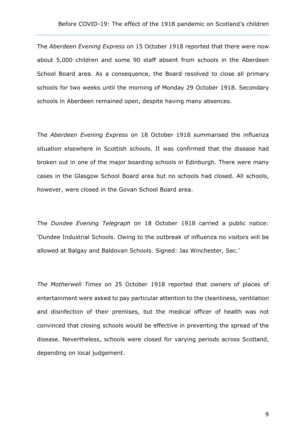The *Aberdeen Evening Express* on 15 October 1918 reported that there were now about 5,000 children and some 90 staff absent from schools in the Aberdeen School Board area. As a consequence, the Board resolved to close all primary schools for two weeks until the morning of Monday 29 October 1918. Secondary schools in Aberdeen remained open, despite having many absences.

The *Aberdeen Evening Express* on 18 October 1918 summarised the influenza situation elsewhere in Scottish schools. It was confirmed that the disease had broken out in one of the major boarding schools in Edinburgh. There were many cases in the Glasgow School Board area but no schools had closed. All schools, however, were closed in the Govan School Board area.

The *Dundee Evening Telegraph* on 18 October 1918 carried a public notice: 'Dundee Industrial Schools. Owing to the outbreak of influenza no visitors will be allowed at Balgay and Baldovan Schools. Signed: Jas Winchester, Sec.'

*The Motherwell Times* on 25 October 1918 reported that owners of places of entertainment were asked to pay particular attention to the cleanliness, ventilation and disinfection of their premises, but the medical officer of health was not convinced that closing schools would be effective in preventing the spread of the disease. Nevertheless, schools were closed for varying periods across Scotland, depending on local judgement.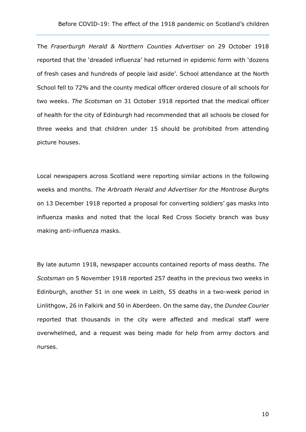The *Fraserburgh Herald & Northern Counties Advertiser* on 29 October 1918 reported that the 'dreaded influenza' had returned in epidemic form with 'dozens of fresh cases and hundreds of people laid aside'. School attendance at the North School fell to 72% and the county medical officer ordered closure of all schools for two weeks. *The Scotsman* on 31 October 1918 reported that the medical officer of health for the city of Edinburgh had recommended that all schools be closed for three weeks and that children under 15 should be prohibited from attending picture houses.

Local newspapers across Scotland were reporting similar actions in the following weeks and months. *The Arbroath Herald and Advertiser for the Montrose Burgh*s on 13 December 1918 reported a proposal for converting soldiers' gas masks into influenza masks and noted that the local Red Cross Society branch was busy making anti-influenza masks.

By late autumn 1918, newspaper accounts contained reports of mass deaths. *The Scotsman* on 5 November 1918 reported 257 deaths in the previous two weeks in Edinburgh, another 51 in one week in Leith, 55 deaths in a two-week period in Linlithgow, 26 in Falkirk and 50 in Aberdeen. On the same day, the *Dundee Courier* reported that thousands in the city were affected and medical staff were overwhelmed, and a request was being made for help from army doctors and nurses.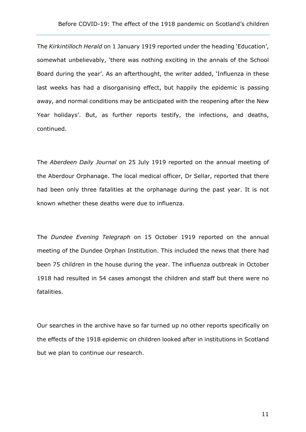The *Kirkintilloch Herald* on 1 January 1919 reported under the heading 'Education', somewhat unbelievably, 'there was nothing exciting in the annals of the School Board during the year'. As an afterthought, the writer added, 'Influenza in these last weeks has had a disorganising effect, but happily the epidemic is passing away, and normal conditions may be anticipated with the reopening after the New Year holidays'. But, as further reports testify, the infections, and deaths, continued.

The *Aberdeen Daily Journal* on 25 July 1919 reported on the annual meeting of the Aberdour Orphanage. The local medical officer, Dr Sellar, reported that there had been only three fatalities at the orphanage during the past year. It is not known whether these deaths were due to influenza.

The *Dundee Evening Telegraph* on 15 October 1919 reported on the annual meeting of the Dundee Orphan Institution. This included the news that there had been 75 children in the house during the year. The influenza outbreak in October 1918 had resulted in 54 cases amongst the children and staff but there were no fatalities.

Our searches in the archive have so far turned up no other reports specifically on the effects of the 1918 epidemic on children looked after in institutions in Scotland but we plan to continue our research.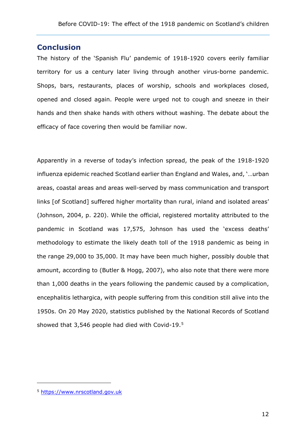#### **Conclusion**

The history of the 'Spanish Flu' pandemic of 1918-1920 covers eerily familiar territory for us a century later living through another virus-borne pandemic. Shops, bars, restaurants, places of worship, schools and workplaces closed, opened and closed again. People were urged not to cough and sneeze in their hands and then shake hands with others without washing. The debate about the efficacy of face covering then would be familiar now.

Apparently in a reverse of today's infection spread, the peak of the 1918-1920 influenza epidemic reached Scotland earlier than England and Wales, and, '…urban areas, coastal areas and areas well-served by mass communication and transport links [of Scotland] suffered higher mortality than rural, inland and isolated areas' (Johnson, 2004, p. 220). While the official, registered mortality attributed to the pandemic in Scotland was 17,575, Johnson has used the 'excess deaths' methodology to estimate the likely death toll of the 1918 pandemic as being in the range 29,000 to 35,000. It may have been much higher, possibly double that amount, according to (Butler & Hogg, 2007), who also note that there were more than 1,000 deaths in the years following the pandemic caused by a complication, encephalitis lethargica, with people suffering from this condition still alive into the 1950s. On 20 May 2020, statistics published by the National Records of Scotland showed that 3,546 people had died with Covid-19.[5](#page-12-0)

-

<span id="page-12-0"></span><sup>5</sup> [https://www.nrscotland.gov.uk](https://www.nrscotland.gov.uk/)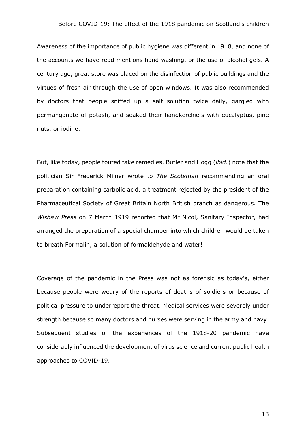Awareness of the importance of public hygiene was different in 1918, and none of the accounts we have read mentions hand washing, or the use of alcohol gels. A century ago, great store was placed on the disinfection of public buildings and the virtues of fresh air through the use of open windows. It was also recommended by doctors that people sniffed up a salt solution twice daily, gargled with permanganate of potash, and soaked their handkerchiefs with eucalyptus, pine nuts, or iodine.

But, like today, people touted fake remedies. Butler and Hogg (*ibid*.) note that the politician Sir Frederick Milner wrote to *The Scotsman* recommending an oral preparation containing carbolic acid, a treatment rejected by the president of the Pharmaceutical Society of Great Britain North British branch as dangerous. The *Wishaw Press* on 7 March 1919 reported that Mr Nicol, Sanitary Inspector, had arranged the preparation of a special chamber into which children would be taken to breath Formalin, a solution of formaldehyde and water!

Coverage of the pandemic in the Press was not as forensic as today's, either because people were weary of the reports of deaths of soldiers or because of political pressure to underreport the threat. Medical services were severely under strength because so many doctors and nurses were serving in the army and navy. Subsequent studies of the experiences of the 1918-20 pandemic have considerably influenced the development of virus science and current public health approaches to COVID-19.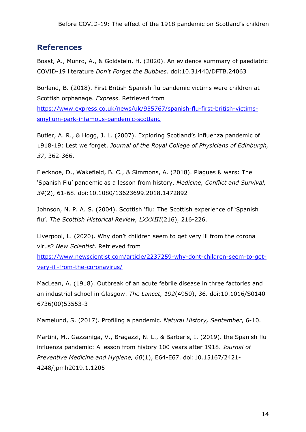#### **References**

Boast, A., Munro, A., & Goldstein, H. (2020). An evidence summary of paediatric COVID-19 literature *Don't Forget the Bubbles*. doi:10.31440/DFTB.24063

Borland, B. (2018). First British Spanish flu pandemic victims were children at Scottish orphanage. *Express*. Retrieved from

[https://www.express.co.uk/news/uk/955767/spanish-flu-first-british-victims](https://www.express.co.uk/news/uk/955767/spanish-flu-first-british-victims-smyllum-park-infamous-pandemic-scotland)[smyllum-park-infamous-pandemic-scotland](https://www.express.co.uk/news/uk/955767/spanish-flu-first-british-victims-smyllum-park-infamous-pandemic-scotland)

Butler, A. R., & Hogg, J. L. (2007). Exploring Scotland's influenza pandemic of 1918-19: Lest we forget. *Journal of the Royal College of Physicians of Edinburgh, 37*, 362-366.

Flecknoe, D., Wakefield, B. C., & Simmons, A. (2018). Plagues & wars: The 'Spanish Flu' pandemic as a lesson from history. *Medicine, Conflict and Survival, 34*(2), 61-68. doi:10.1080/13623699.2018.1472892

Johnson, N. P. A. S. (2004). Scottish 'flu: The Scottish experience of 'Spanish flu'. *The Scottish Historical Review, LXXXIII*(216), 216-226.

Liverpool, L. (2020). Why don't children seem to get very ill from the corona virus? *New Scientist*. Retrieved from

[https://www.newscientist.com/article/2237259-why-dont-children-seem-to-get](https://www.newscientist.com/article/2237259-why-dont-children-seem-to-get-very-ill-from-the-coronavirus/)[very-ill-from-the-coronavirus/](https://www.newscientist.com/article/2237259-why-dont-children-seem-to-get-very-ill-from-the-coronavirus/)

MacLean, A. (1918). Outbreak of an acute febrile disease in three factories and an industrial school in Glasgow. *The Lancet, 192*(4950), 36. doi:10.1016/S0140- 6736(00)53553-3

Mamelund, S. (2017). Profiling a pandemic. *Natural History, September*, 6-10.

Martini, M., Gazzaniga, V., Bragazzi, N. L., & Barberis, I. (2019). the Spanish flu influenza pandemic: A lesson from history 100 years after 1918. *Journal of Preventive Medicine and Hygiene, 60*(1), E64-E67. doi:10.15167/2421- 4248/jpmh2019.1.1205